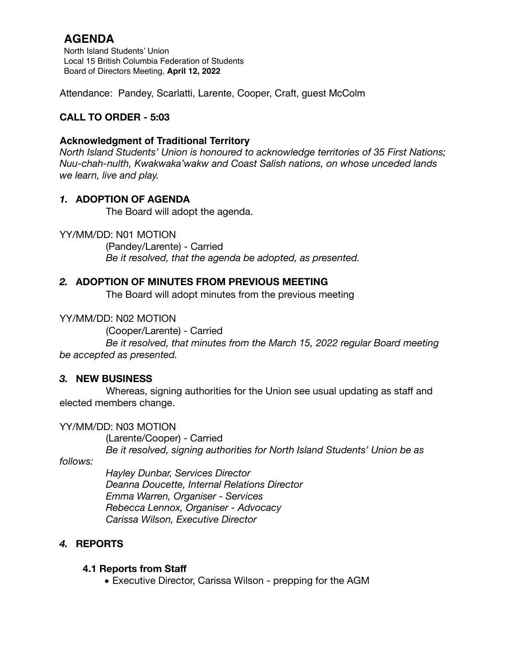# **AGENDA**

North Island Students' Union Local 15 British Columbia Federation of Students Board of Directors Meeting, **April 12, 2022**

Attendance: Pandey, Scarlatti, Larente, Cooper, Craft, guest McColm

# **CALL TO ORDER - 5:03**

#### **Acknowledgment of Traditional Territory**

*North Island Students' Union is honoured to acknowledge territories of 35 First Nations; Nuu-chah-nulth, Kwakwaka'wakw and Coast Salish nations, on whose unceded lands we learn, live and play.*

### *1.* **ADOPTION OF AGENDA**

The Board will adopt the agenda.

YY/MM/DD: N01 MOTION (Pandey/Larente) - Carried *Be it resolved, that the agenda be adopted, as presented.* 

### *2.* **ADOPTION OF MINUTES FROM PREVIOUS MEETING**

The Board will adopt minutes from the previous meeting

YY/MM/DD: N02 MOTION

(Cooper/Larente) - Carried

 *Be it resolved, that minutes from the March 15, 2022 regular Board meeting be accepted as presented.* 

### *3.* **NEW BUSINESS**

Whereas, signing authorities for the Union see usual updating as staff and elected members change.

YY/MM/DD: N03 MOTION

 (Larente/Cooper) - Carried *Be it resolved, signing authorities for North Island Students' Union be as* 

*follows:* 

 *Hayley Dunbar, Services Director Deanna Doucette, Internal Relations Director Emma Warren, Organiser - Services Rebecca Lennox, Organiser - Advocacy Carissa Wilson, Executive Director*

### *4.* **REPORTS**

#### **4.1 Reports from Staff**

*•* Executive Director, Carissa Wilson - prepping for the AGM